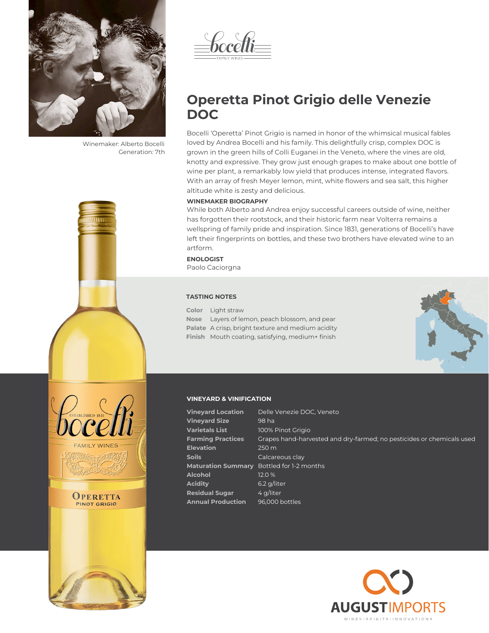

Winemaker: Alberto Bocelli Generation: 7th



bocelli

# **Operetta Pinot Grigio delle Venezie DOC**

Bocelli 'Operetta' Pinot Grigio is named in honor of the whimsical musical fables loved by Andrea Bocelli and his family. This delightfully crisp, complex DOC is grown in the green hills of Colli Euganei in the Veneto, where the vines are old, knotty and expressive. They grow just enough grapes to make about one bottle of wine per plant, a remarkably low yield that produces intense, integrated flavors. With an array of fresh Meyer lemon, mint, white flowers and sea salt, this higher altitude white is zesty and delicious.

## **WINEMAKER BIOGRAPHY**

While both Alberto and Andrea enjoy successful careers outside of wine, neither has forgotten their rootstock, and their historic farm near Volterra remains a wellspring of family pride and inspiration. Since 1831, generations of Bocelli's have left their fingerprints on bottles, and these two brothers have elevated wine to an artform.

## **ENOLOGIST** Paolo Caciorgna

**TASTING NOTES**

**Color** Light straw **Nose** Layers of lemon, peach blossom, and pear **Palate** A crisp, bright texture and medium acidity **Finish** Mouth coating, satisfying, medium+ finish



## **VINEYARD & VINIFICATION**

| <b>Vineyard Location</b>  | Delle Venezie DOC, Veneto                                             |
|---------------------------|-----------------------------------------------------------------------|
| <b>Vineyard Size</b>      | 98 ha                                                                 |
| Varietals List            | 100% Pinot Grigio                                                     |
| <b>Farming Practices</b>  | Grapes hand-harvested and dry-farmed; no pesticides or chemicals used |
| <b>Elevation</b>          | $250 \text{ m}$                                                       |
| <b>Soils</b>              | Calcareous clay                                                       |
| <b>Maturation Summary</b> | Bottled for 1-2 months                                                |
| Alcohol                   | 12.0 %                                                                |
| Acidity                   | $6.2$ g/liter                                                         |
| <b>Residual Sugar</b>     | 4 g/liter                                                             |
| <b>Annual Production</b>  | 96,000 bottles                                                        |